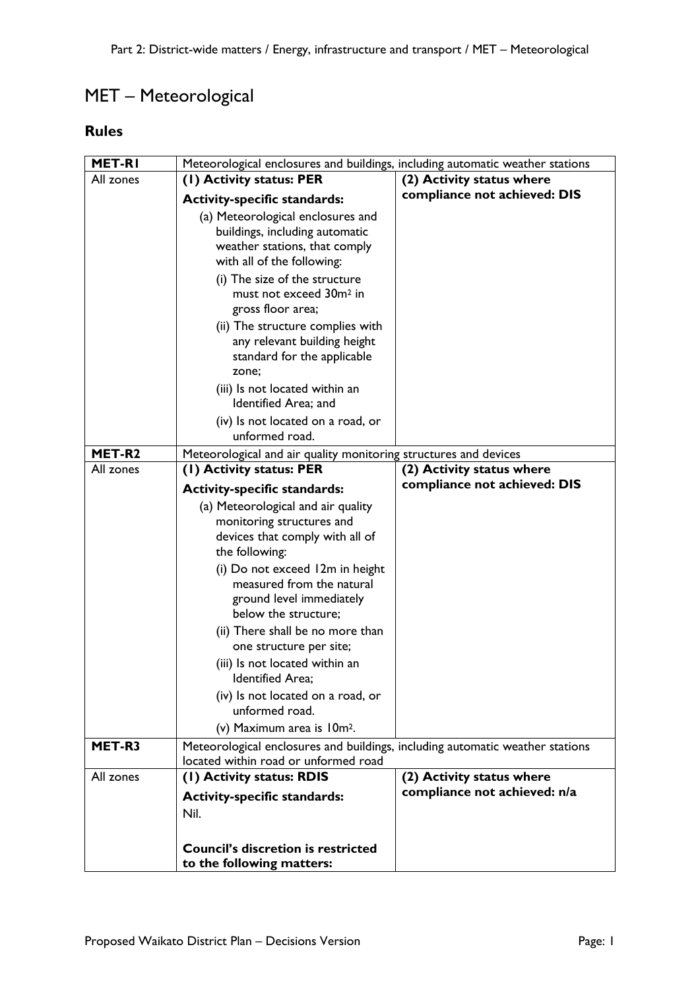## MET – Meteorological

## **Rules**

| MET-RI    | Meteorological enclosures and buildings, including automatic weather stations                                                                                       |                              |  |
|-----------|---------------------------------------------------------------------------------------------------------------------------------------------------------------------|------------------------------|--|
| All zones | (I) Activity status: PER                                                                                                                                            | (2) Activity status where    |  |
|           | <b>Activity-specific standards:</b>                                                                                                                                 | compliance not achieved: DIS |  |
|           | (a) Meteorological enclosures and<br>buildings, including automatic<br>weather stations, that comply<br>with all of the following:<br>(i) The size of the structure |                              |  |
|           | must not exceed 30m <sup>2</sup> in<br>gross floor area;                                                                                                            |                              |  |
|           | (ii) The structure complies with<br>any relevant building height<br>standard for the applicable<br>zone;                                                            |                              |  |
|           | (iii) Is not located within an<br>Identified Area; and                                                                                                              |                              |  |
|           | (iv) Is not located on a road, or<br>unformed road.                                                                                                                 |                              |  |
| MET-R2    | Meteorological and air quality monitoring structures and devices                                                                                                    |                              |  |
| All zones | (1) Activity status: PER                                                                                                                                            | (2) Activity status where    |  |
|           | <b>Activity-specific standards:</b>                                                                                                                                 | compliance not achieved: DIS |  |
|           | (a) Meteorological and air quality<br>monitoring structures and<br>devices that comply with all of<br>the following:                                                |                              |  |
|           | (i) Do not exceed 12m in height<br>measured from the natural<br>ground level immediately<br>below the structure;                                                    |                              |  |
|           | (ii) There shall be no more than<br>one structure per site;                                                                                                         |                              |  |
|           | (iii) Is not located within an<br><b>Identified Area:</b>                                                                                                           |                              |  |
|           | (iv) Is not located on a road, or<br>unformed road.                                                                                                                 |                              |  |
|           | (v) Maximum area is 10m <sup>2</sup> .                                                                                                                              |                              |  |
| MET-R3    | Meteorological enclosures and buildings, including automatic weather stations<br>located within road or unformed road                                               |                              |  |
| All zones | (I) Activity status: RDIS                                                                                                                                           | (2) Activity status where    |  |
|           | <b>Activity-specific standards:</b>                                                                                                                                 | compliance not achieved: n/a |  |
|           | Nil.                                                                                                                                                                |                              |  |
|           | <b>Council's discretion is restricted</b><br>to the following matters:                                                                                              |                              |  |